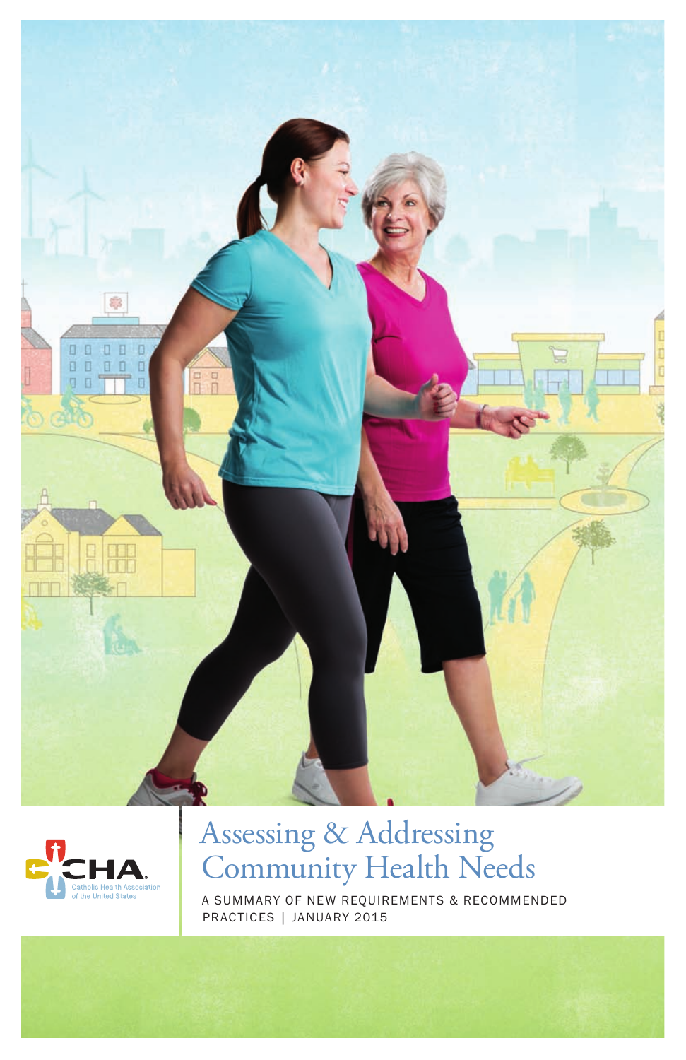



## Assessing & Addressing Community Health Needs

A SUMMARY OF NEW REQUIREMENTS & RECOMMENDED PRACTICES | JANUARY 2015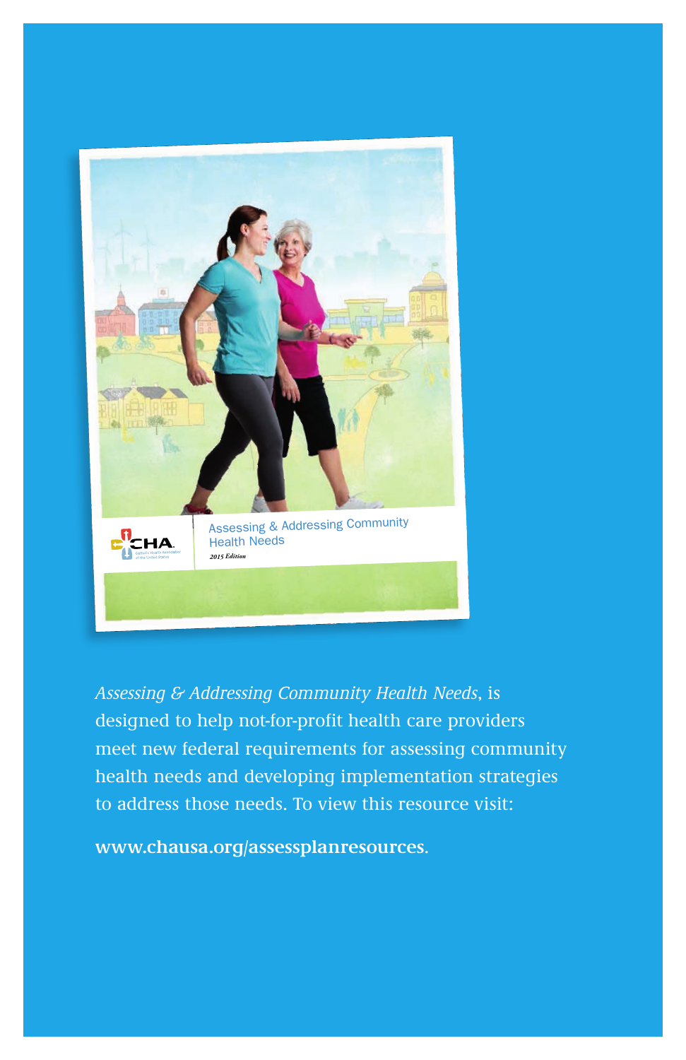

*Assessing & Addressing Community Health Needs*, is designed to help not-for-profit health care providers meet new federal requirements for assessing community health needs and developing implementation strategies to address those needs. To view this resource visit:

**www.chausa.org/assessplanresources**.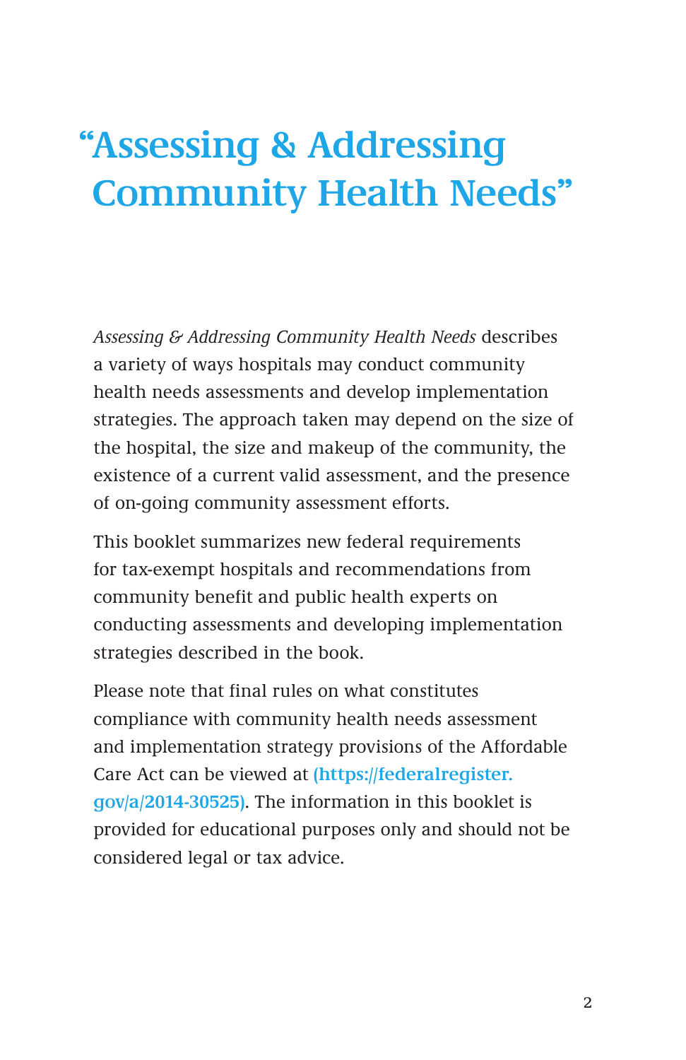# **" Assessing & Addressing Community Health Needs"**

*Assessing & Addressing Community Health Needs* describes a variety of ways hospitals may conduct community health needs assessments and develop implementation strategies. The approach taken may depend on the size of the hospital, the size and makeup of the community, the existence of a current valid assessment, and the presence of on-going community assessment efforts.

This booklet summarizes new federal requirements for tax-exempt hospitals and recommendations from community benefit and public health experts on conducting assessments and developing implementation strategies described in the book.

Please note that final rules on what constitutes compliance with community health needs assessment and implementation strategy provisions of the Affordable Care Act can be viewed at **(https://federalregister. gov/a/2014-30525)**. The information in this booklet is provided for educational purposes only and should not be considered legal or tax advice.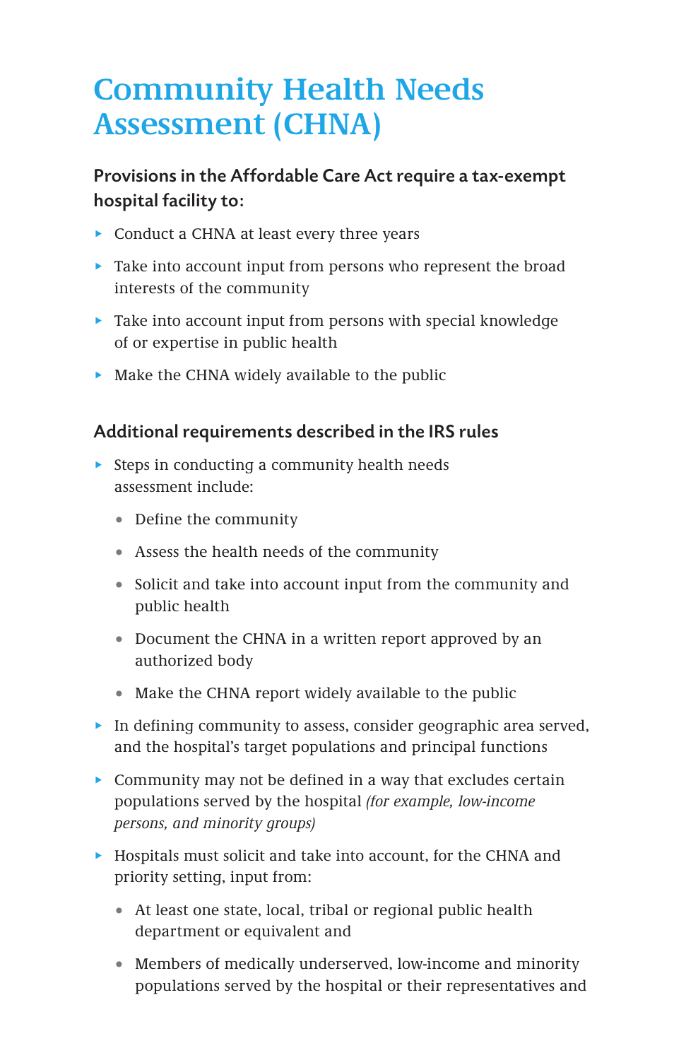## **Community Health Needs Assessment (CHNA)**

### Provisions in the Affordable Care Act require a tax-exempt hospital facility to:

- $\triangleright$  Conduct a CHNA at least every three years
- $\blacktriangleright$  Take into account input from persons who represent the broad interests of the community
- $\blacktriangleright$  Take into account input from persons with special knowledge of or expertise in public health
- $\triangleright$  Make the CHNA widely available to the public

#### Additional requirements described in the IRS rules

- $\triangleright$  Steps in conducting a community health needs assessment include:
	- Define the community
	- 1 Assess the health needs of the community
	- Solicit and take into account input from the community and public health
	- Document the CHNA in a written report approved by an authorized body
	- Make the CHNA report widely available to the public
- In defining community to assess, consider geographic area served, and the hospital's target populations and principal functions
- $\triangleright$  Community may not be defined in a way that excludes certain populations served by the hospital *(for example, low-income persons, and minority groups)*
- $\blacktriangleright$  Hospitals must solicit and take into account, for the CHNA and priority setting, input from:
	- At least one state, local, tribal or regional public health department or equivalent and
	- 1 Members of medically underserved, low-income and minority populations served by the hospital or their representatives and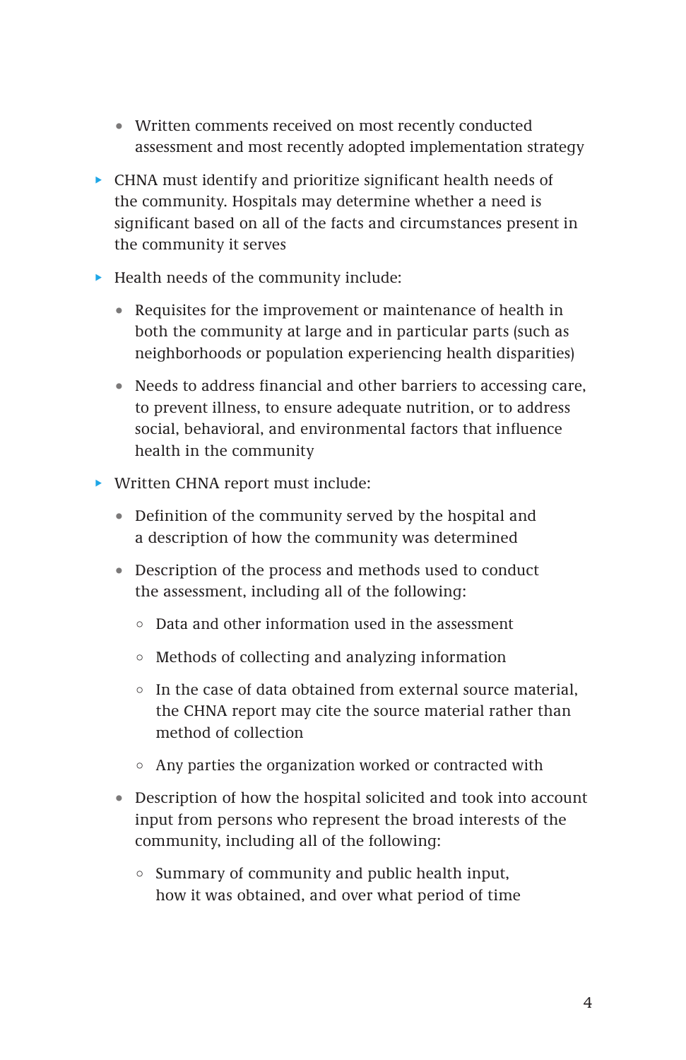- 1 Written comments received on most recently conducted assessment and most recently adopted implementation strategy
- $\triangleright$  CHNA must identify and prioritize significant health needs of the community. Hospitals may determine whether a need is significant based on all of the facts and circumstances present in the community it serves
- $\blacktriangleright$  Health needs of the community include:
	- Requisites for the improvement or maintenance of health in both the community at large and in particular parts (such as neighborhoods or population experiencing health disparities)
	- 1 Needs to address financial and other barriers to accessing care, to prevent illness, to ensure adequate nutrition, or to address social, behavioral, and environmental factors that influence health in the community
- $\triangleright$  Written CHNA report must include:
	- Definition of the community served by the hospital and a description of how the community was determined
	- 1 Description of the process and methods used to conduct the assessment, including all of the following:
		- $\circ$  Data and other information used in the assessment
		- $\circ$  Methods of collecting and analyzing information
		- $\circ$  In the case of data obtained from external source material, the CHNA report may cite the source material rather than method of collection
		- $\circ$  Any parties the organization worked or contracted with
	- 1 Description of how the hospital solicited and took into account input from persons who represent the broad interests of the community, including all of the following:
		- $\circ$  Summary of community and public health input, how it was obtained, and over what period of time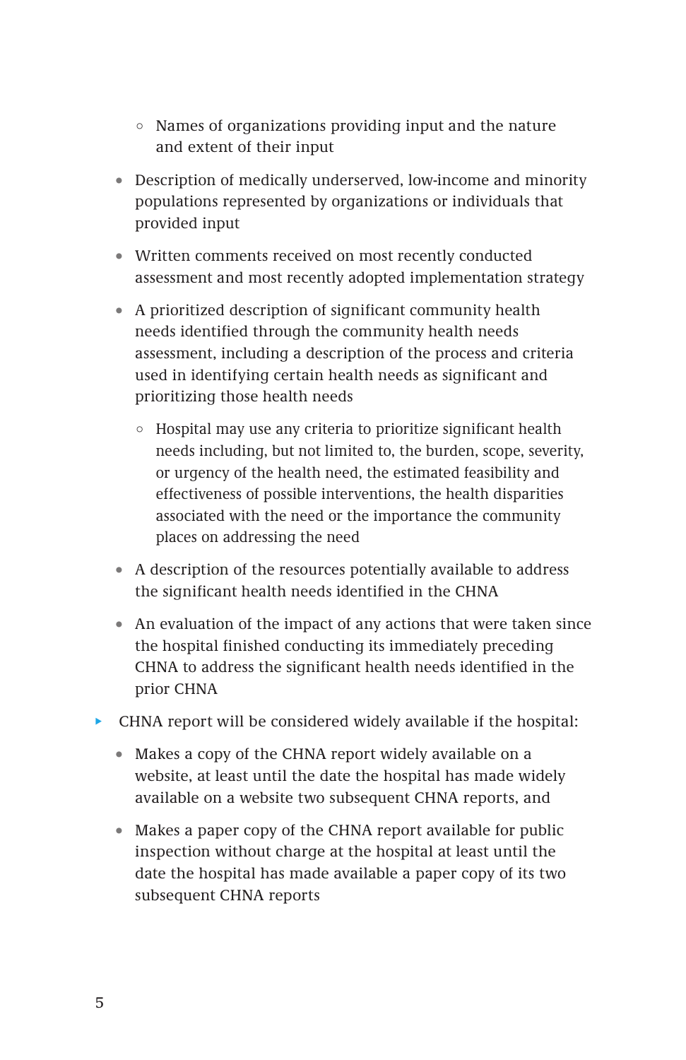- $\circ$  Names of organizations providing input and the nature and extent of their input
- 1 Description of medically underserved, low-income and minority populations represented by organizations or individuals that provided input
- 1 Written comments received on most recently conducted assessment and most recently adopted implementation strategy
- 1 A prioritized description of significant community health needs identified through the community health needs assessment, including a description of the process and criteria used in identifying certain health needs as significant and prioritizing those health needs
	- $\circ$  Hospital may use any criteria to prioritize significant health needs including, but not limited to, the burden, scope, severity, or urgency of the health need, the estimated feasibility and effectiveness of possible interventions, the health disparities associated with the need or the importance the community places on addressing the need
- A description of the resources potentially available to address the significant health needs identified in the CHNA
- An evaluation of the impact of any actions that were taken since the hospital finished conducting its immediately preceding CHNA to address the significant health needs identified in the prior CHNA
- $\blacktriangleright$  CHNA report will be considered widely available if the hospital:
	- Makes a copy of the CHNA report widely available on a website, at least until the date the hospital has made widely available on a website two subsequent CHNA reports, and
	- Makes a paper copy of the CHNA report available for public inspection without charge at the hospital at least until the date the hospital has made available a paper copy of its two subsequent CHNA reports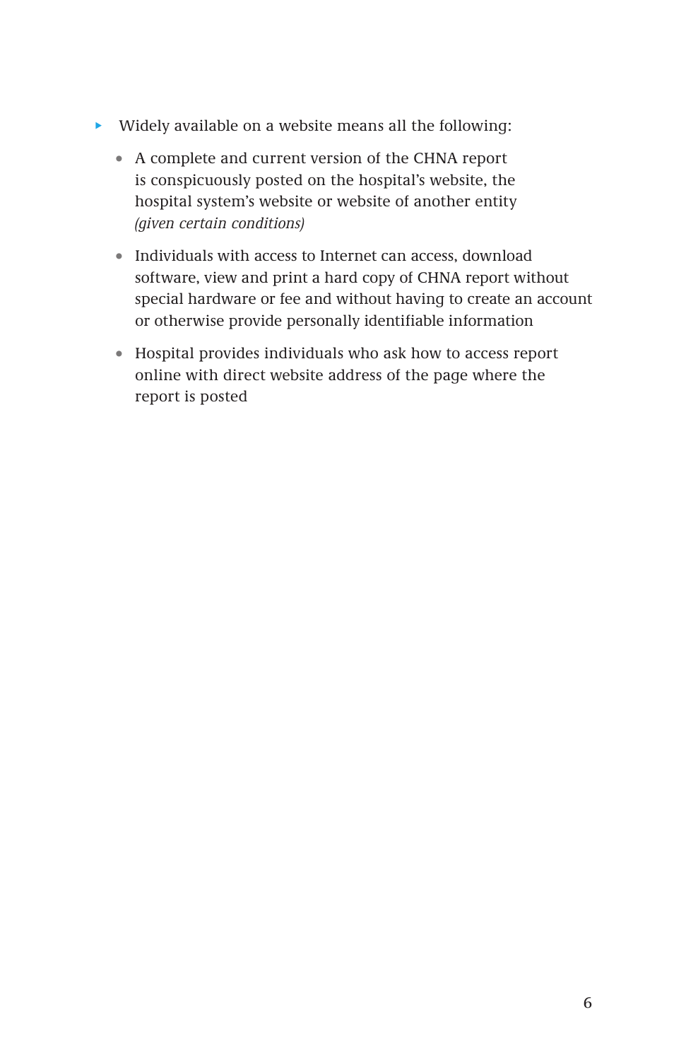- $\blacktriangleright$  Widely available on a website means all the following:
	- 1 A complete and current version of the CHNA report is conspicuously posted on the hospital's website, the hospital system's website or website of another entity *(given certain conditions)*
	- Individuals with access to Internet can access, download software, view and print a hard copy of CHNA report without special hardware or fee and without having to create an account or otherwise provide personally identifiable information
	- 1 Hospital provides individuals who ask how to access report online with direct website address of the page where the report is posted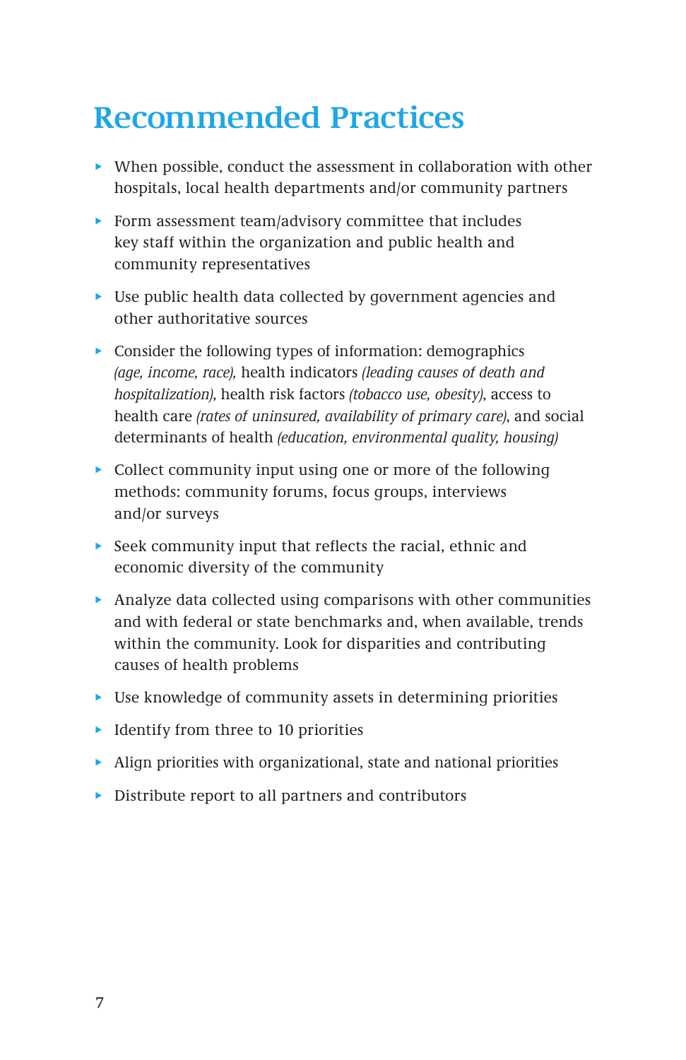## **Recommended Practices**

- $\blacktriangleright$  When possible, conduct the assessment in collaboration with other hospitals, local health departments and/or community partners
- Form assessment team/advisory committee that includes key staff within the organization and public health and community representatives
- $\triangleright$  Use public health data collected by government agencies and other authoritative sources
- $\triangleright$  Consider the following types of information: demographics *(age, income, race),* health indicators *(leading causes of death and hospitalization)*, health risk factors *(tobacco use, obesity)*, access to health care *(rates of uninsured, availability of primary care)*, and social determinants of health *(education, environmental quality, housing)*
- $\triangleright$  Collect community input using one or more of the following methods: community forums, focus groups, interviews and/or surveys
- Seek community input that reflects the racial, ethnic and economic diversity of the community
- Analyze data collected using comparisons with other communities and with federal or state benchmarks and, when available, trends within the community. Look for disparities and contributing causes of health problems
- $\triangleright$  Use knowledge of community assets in determining priorities
- $\blacktriangleright$  Identify from three to 10 priorities
- $\blacktriangleright$  Align priorities with organizational, state and national priorities
- $\triangleright$  Distribute report to all partners and contributors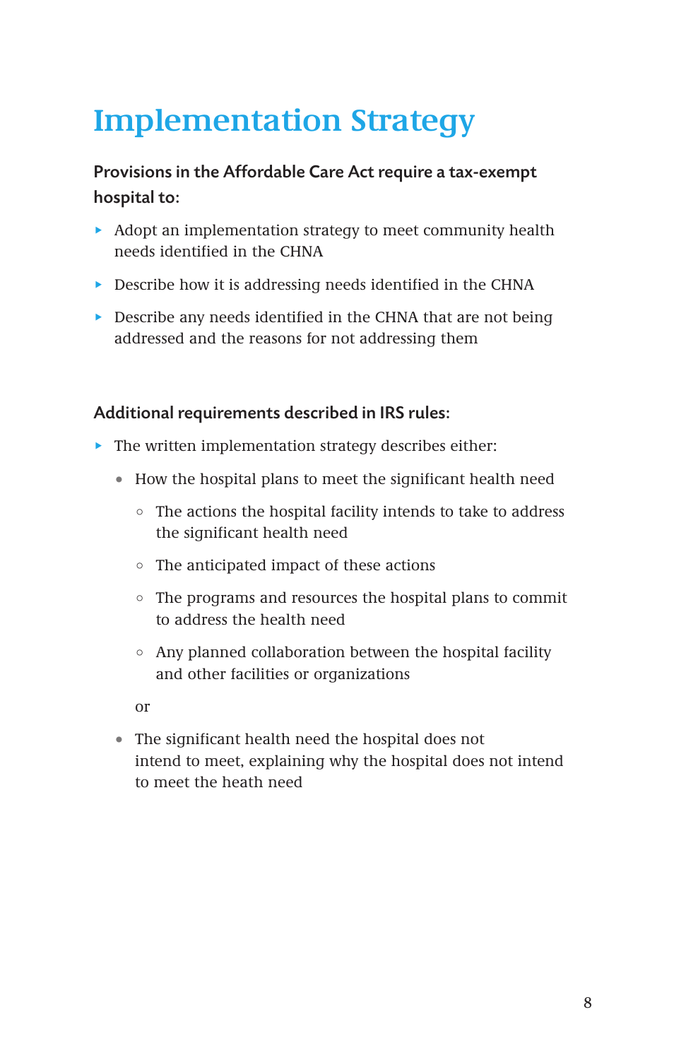## **Implementation Strategy**

### Provisions in the Affordable Care Act require a tax-exempt hospital to:

- $\blacktriangleright$  Adopt an implementation strategy to meet community health needs identified in the CHNA
- $\triangleright$  Describe how it is addressing needs identified in the CHNA
- $\blacktriangleright$  Describe any needs identified in the CHNA that are not being addressed and the reasons for not addressing them

#### Additional requirements described in IRS rules:

- $\blacktriangleright$  The written implementation strategy describes either:
	- 1 How the hospital plans to meet the significant health need
		- $\circ$  The actions the hospital facility intends to take to address the significant health need
		- $\circ$  The anticipated impact of these actions
		- ! The programs and resources the hospital plans to commit to address the health need
		- $\circ$  Any planned collaboration between the hospital facility and other facilities or organizations

or

• The significant health need the hospital does not intend to meet, explaining why the hospital does not intend to meet the heath need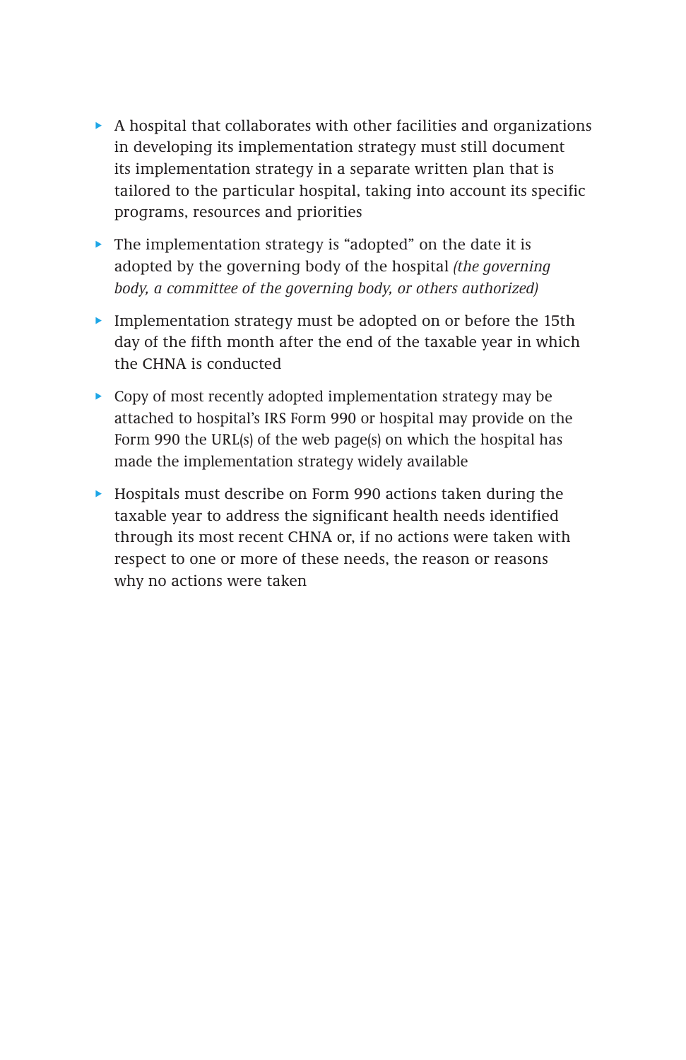- $\triangleright$  A hospital that collaborates with other facilities and organizations in developing its implementation strategy must still document its implementation strategy in a separate written plan that is tailored to the particular hospital, taking into account its specific programs, resources and priorities
- $\blacktriangleright$  The implementation strategy is "adopted" on the date it is adopted by the governing body of the hospital *(the governing body, a committee of the governing body, or others authorized)*
- Implementation strategy must be adopted on or before the 15th day of the fifth month after the end of the taxable year in which the CHNA is conducted
- $\triangleright$  Copy of most recently adopted implementation strategy may be attached to hospital's IRS Form 990 or hospital may provide on the Form 990 the URL(s) of the web page(s) on which the hospital has made the implementation strategy widely available
- $\blacktriangleright$  Hospitals must describe on Form 990 actions taken during the taxable year to address the significant health needs identified through its most recent CHNA or, if no actions were taken with respect to one or more of these needs, the reason or reasons why no actions were taken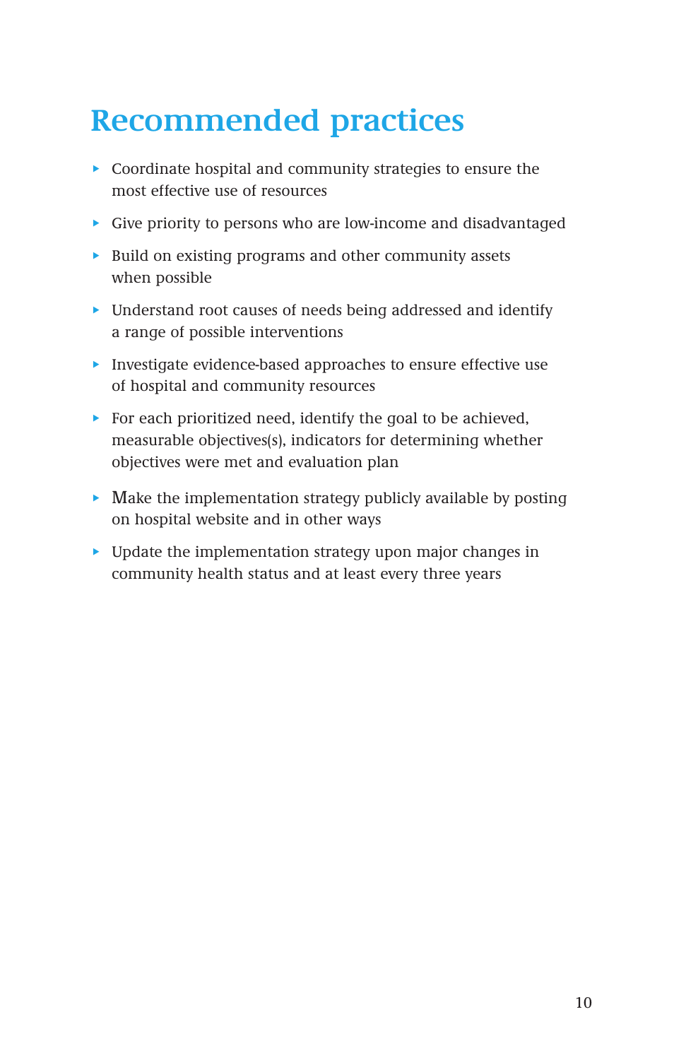## **Recommended practices**

- $\triangleright$  Coordinate hospital and community strategies to ensure the most effective use of resources
- Give priority to persons who are low-income and disadvantaged
- $\triangleright$  Build on existing programs and other community assets when possible
- $\triangleright$  Understand root causes of needs being addressed and identify a range of possible interventions
- $\blacktriangleright$  Investigate evidence-based approaches to ensure effective use of hospital and community resources
- For each prioritized need, identify the goal to be achieved, measurable objectives(s), indicators for determining whether objectives were met and evaluation plan
- $\blacktriangleright$  Make the implementation strategy publicly available by posting on hospital website and in other ways
- $\blacktriangleright$  Update the implementation strategy upon major changes in community health status and at least every three years